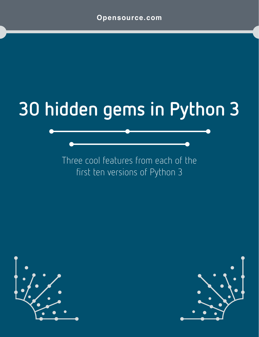# **30 hidden gems in Python 3**

Three cool features from each of the first ten versions of Python 3



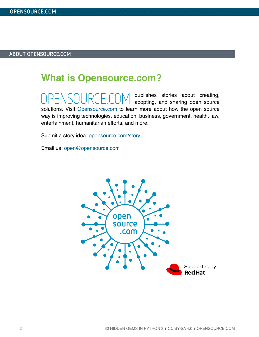### **What is [Opensource.com?](http://www.opensource.com)**

publishes stories about creating, adopting, and sharing open source solutions. Visit [Opensource.com](http://opensource.com) to learn more about how the open source way is improving technologies, education, business, government, health, law, entertainment, humanitarian efforts, and more.

Submit a story idea: [opensource.com/story](https://opensource.com/story)

Email us: [open@opensource.com](mailto:open%40opensource.com?subject=)

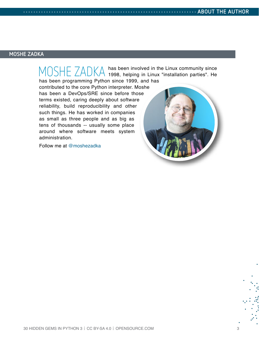#### **MOSHE ZADKA**

MOSHE ZADKA has been involved in the Linux community since<br>MOSHE ZADKA 1998, helping in Linux "installation parties". He has been programming Python since 1999, and has

contributed to the core Python interpreter. Moshe has been a DevOps/SRE since before those terms existed, caring deeply about software reliability, build reproducibility and other such things. He has worked in companies as small as three people and as big as tens of thousands -- usually some place around where software meets system administration.

Follow me at [@moshezadka](https://twitter.com/moshezadka)

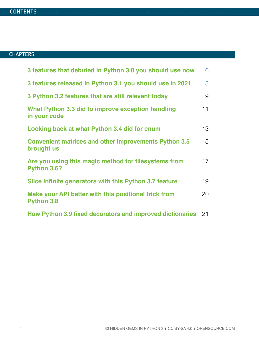#### **CONTENTS . . . . . . . . . . . . . . . . . . . . . . . . . . . . . . . . . . . . . . . . . . . . . . . . . . . . . . . . . . . . . . . . . . . . . . . . . . . . .**

### **CHAPTERS**

| 3 features that debuted in Python 3.0 you should use now                   | 6               |
|----------------------------------------------------------------------------|-----------------|
| 3 features released in Python 3.1 you should use in 2021                   | 8               |
| 3 Python 3.2 features that are still relevant today                        | 9               |
| What Python 3.3 did to improve exception handling<br>in your code          | 11              |
| Looking back at what Python 3.4 did for enum                               | 13 <sup>°</sup> |
| <b>Convenient matrices and other improvements Python 3.5</b><br>brought us | 15              |
| Are you using this magic method for filesystems from<br>Python 3.6?        | 17              |
| Slice infinite generators with this Python 3.7 feature                     | 19              |
| Make your API better with this positional trick from<br><b>Python 3.8</b>  | 20              |
| How Python 3.9 fixed decorators and improved dictionaries 21               |                 |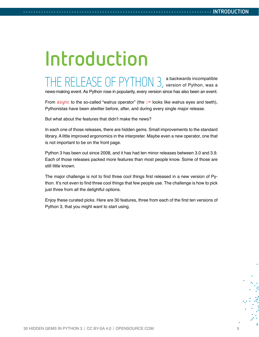# **Introduction**

THE RELEASE OF PYTHON 3, a backwards incompatible version of Python, was a news-making event. As Python rose in popularity, every version since has also been an event.

From  $\frac{a}{b}$  async to the so-called "walrus operator" (the  $:=$  looks like walrus eyes and teeth), Pythonistas have been atwitter before, after, and during every single major release.

But what about the features that didn't make the news?

In each one of those releases, there are hidden gems. Small improvements to the standard library. A little improved ergonomics in the interpreter. Maybe even a new operator, one that is not important to be on the front page.

Python 3 has been out since 2008, and it has had ten minor releases between 3.0 and 3.9. Each of those releases packed more features than most people know. Some of those are still little known.

The major challenge is not to find three cool things first released in a new version of Python. It's not even to find three cool things that few people use. The challenge is how to pick just three from all the delightful options.

Enjoy these curated picks. Here are 30 features, three from each of the first ten versions of Python 3, that you might want to start using.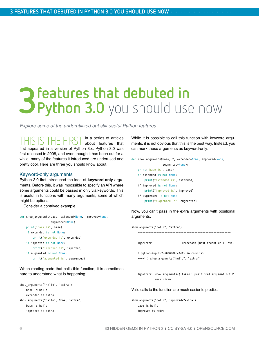## <span id="page-5-0"></span>**3 features that debuted in** <br>**3 Python 3.0** you should use **Python 3.0** you should use now

*Explore some of the underutilized but still useful Python features.*

THIS IS THE FIRST in a series of articles about features that first appeared in a version of Python 3.x. Python 3.0 was first released in 2008, and even though it has been out for a while, many of the features it introduced are underused and pretty cool. Here are three you should know about.

#### Keyword-only arguments

Python 3.0 first introduced the idea of **keyword-only** arguments. Before this, it was impossible to specify an API where some arguments could be passed in only via keywords. This is useful in functions with many arguments, some of which might be optional.

Consider a contrived example:

| def show arguments(base, extended=None, improved=None, |
|--------------------------------------------------------|
| augmented=None):                                       |
| print("base is", base)                                 |
| if extended is not None:                               |
| print("extended is", extended)                         |
| if improved is not None:                               |
| print("improved is", improved)                         |
| if augmented is not None:                              |
| print ("augmented is", augmented)                      |

When reading code that calls this function, it is sometimes hard to understand what is happening:

```
show_arguments("hello", "extra")
    base is hello
    extended is extra
show_arguments("hello", None, "extra")
    base is hello
    improved is extra
```
While it is possible to call this function with keyword arguments, it is not obvious that this is the best way. Instead, you can mark these arguments as keyword-only:

```
def show arguments(base, *, extended=None, improved=None,
                   augmented=None):
     print("base is", base)
     if extended is not None:
         print("extended is", extended)
     if improved is not None:
         print("improved is", improved)
     if augmented is not None:
         print("augmented is", augmented)
```
Now, you can't pass in the extra arguments with positional arguments:

| show arguments("hello", "extra")                                                                                                   |                                                               |
|------------------------------------------------------------------------------------------------------------------------------------|---------------------------------------------------------------|
| TypeError                                                                                                                          | Traceback (most recent call last)                             |
| <ipython-input-7-6000400c4441> in <module><br/>----&gt; 1 show arquments("hello", "extra")</module></ipython-input-7-6000400c4441> |                                                               |
| were given                                                                                                                         | TypeError: show arguments() takes 1 positional argument but 2 |
| Valid calls to the function are much easier to predict:                                                                            |                                                               |
| show arguments("hello", improved="extra")<br>base is hello                                                                         |                                                               |

```
 improved is extra
```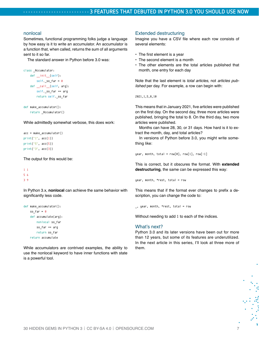#### nonlocal

Sometimes, functional programming folks judge a language by how easy is it to write an accumulator. An accumulator is a function that, when called, returns the sum of all arguments sent to it so far.

The standard answer in Python before 3.0 was:

```
class _Accumulator:
```
 def \_\_init\_\_(self): self. so  $far = 0$ def \_call\_(self, arg): self. so  $far$  +=  $arg$ return self. so far

```
def make_accumulator():
    return _Accumulator()
```
While admittedly somewhat verbose, this does work:

```
acc = make_accumulator()
print("1", acc(1))
print("5", acc(5))
print("3", acc(3))
```
The output for this would be:

```
1 1
5 6
3 9
```
In Python 3.x, **nonlocal** can achieve the same behavior with significantly less code.

```
def make_accumulator():
    so far = <math>0</math> def accumulate(arg):
          nonlocal so_far
          so_far += arg
          return so_far
     return accumulate
```
While accumulators are contrived examples, the ability to use the nonlocal keyword to have inner functions with state is a powerful tool.

#### Extended destructuring

Imagine you have a CSV file where each row consists of several elements:

- The first element is a year
- The second element is a month
- The other elements are the total articles published that month, one entry for each day

Note that the last element is *total articles*, not *articles published* per day. For example, a row can begin with:

2021,1,5,8,10

This means that in January 2021, five articles were published on the first day. On the second day, three more articles were published, bringing the total to 8. On the third day, two more articles were published.

Months can have 28, 30, or 31 days. How hard is it to extract the month, day, and total articles?

In versions of Python before 3.0, you might write something like:

 $year, month, total = row[0], row[1], row[-1]$ 

This is correct, but it obscures the format. With **extended destructuring**, the same can be expressed this way:

year, month, \*rest, total = row

This means that if the format ever changes to prefix a description, you can change the code to:

\_, year, month, \*rest, total = row

Without needing to add 1 to each of the indices.

#### What's next?

Python 3.0 and its later versions have been out for more than 12 years, but some of its features are underutilized. In the next article in this series, I'll look at three more of them.

š.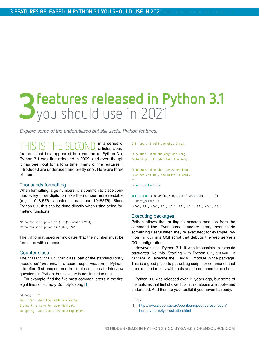## <span id="page-7-0"></span>**3 features released in Python 3.1**<br>**3** you should use in 2021 you should use in 2021

*Explore some of the underutilized but still useful Python features.*

THIS IS THE SECOND in a series of articles about features that first appeared in a version of Python 3.x. Python 3.1 was first released in 2009, and even though it has been out for a long time, many of the features it introduced are underused and pretty cool. Here are three of them.

#### Thousands formatting

When formatting large numbers, it is common to place commas every three digits to make the number more readable (e.g., 1,048,576 is easier to read than 1048576). Since Python 3.1, this can be done directly when using string formatting functions:

"2 to the 20th power is {:,d}".format(2\*\*20) '2 to the 20th power is 1,048,576'

The ,d format specifier indicates that the number must be formatted with commas.

#### Counter class

The collections.Counter class, part of the standard library module collections, is a secret super-weapon in Python. It is often first encountered in simple solutions to interview questions in Python, but its value is not limited to that.

For example, find the five most common letters in the first eight lines of Humpty Dumpty's song [[1\]](http://www2.open.ac.uk/openlearn/poetryprescription/humpty-dumptys-recitation.html):

 $hd\_song = """"$ 

```
In winter, when the fields are white,
I sing this song for your delight.
In Spring, when woods are getting green,
```
I'll try and tell you what I mean.

In Summer, when the days are long, Perhaps you'll understand the song.

```
In Autumn, when the leaves are brown,
Take pen and ink, and write it down.
"""
```
#### import collections

```
collections.Counter(hd_song.lower().replace(' ', ''))
  .most common(5)
[('e', 29), ('n', 27), ('i', 18), ('t', 18), ('r', 15)]
```
#### Executing packages

Python allows the -m flag to execute modules from the command line. Even some standard-library modules do something useful when they're executed; for example, python -m cgi is a CGI script that debugs the web server's CGI configuration.

However, until Python 3.1, it was impossible to execute *packages* like this. Starting with Python 3.1, python -m package will execute the \_\_main\_\_ module in the package. This is a good place to put debug scripts or commands that are executed mostly with tools and do not need to be short.

Python 3.0 was released over 11 years ago, but some of the features that first showed up in this release are cool—and underused. Add them to your toolkit if you haven't already.

Links

[1] [http://www2.open.ac.uk/openlearn/poetryprescription/](http://www2.open.ac.uk/openlearn/poetryprescription/humpty-dumptys-recitation.html) [humpty-dumptys-recitation.html](http://www2.open.ac.uk/openlearn/poetryprescription/humpty-dumptys-recitation.html)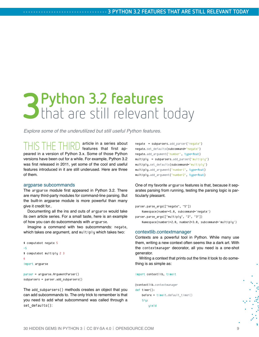## <span id="page-8-0"></span>**3 Python 3.2 features** that are still relevant today

*Explore some of the underutilized but still useful Python features.*

THIS THE THIRD article in a series about features that first appeared in a version of Python 3.x. Some of those Python versions have been out for a while. For example, Python 3.2 was first released in 2011, yet some of the cool and useful features introduced in it are still underused. Here are three of them.

#### argparse subcommands

The argparse module first appeared in Python 3.2. There are many third-party modules for command-line parsing. But the built-in argparse module is more powerful than many give it credit for..

Documenting all the ins and outs of argparse would take its own article series. For a small taste, here is an example of how you can do subcommands with argparse.

Imagine a command with two subcommands: negate, which takes one argument, and multiply which takes two:

```
$ computebot negate 5
-5
$ computebot multiply 2 3
6
import argparse
parser = argparse.ArgumentParser()
```

```
subparsers = parser.add_subparsers()
```
The add\_subparsers() methods creates an object that you can add subcommands to. The only trick to remember is that you need to add what subcommand was called through a set defaults():

```
negate = subparsers.add_parser("negate")
negate.set_defaults(subcommand="negate")
negate.add argument("number", type=float)
multiply = subparsers.add_parser("multiply")
multiply.set_defaults(subcommand="multiply")
multiply.add argument("number1", type=float)
multiply.add argument("number2", type=float)
```
One of my favorite argparse features is that, because it separates parsing from running, testing the parsing logic is particularly pleasant.

```
parser.parse_args(["negate", "5"])
     Namespace(number=5.0, subcommand='negate')
parser.parse_args(["multiply", "2", "3"])
     Namespace(number1=2.0, number2=3.0, subcommand='multiply')
```
#### contextlib.contextmanager

Contexts are a powerful tool in Python. While many use them, writing a new context often seems like a dark art. With the contextmanager decorator, all you need is a one-shot generator.

Writing a context that prints out the time it took to do something is as simple as:

#### import contextlib, timeit

```
@contextlib.contextmanager
def timer():
     before = timeit.default_timer()
    tru:
         yield
```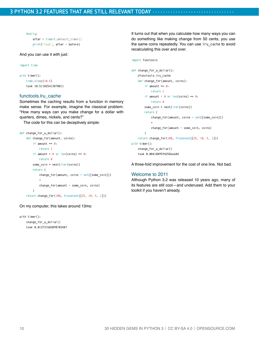finally:

```
after = timeit.default time() print("took", after - before)
```
#### And you can use it with just:

```
import time
```

```
with timer():
     time.sleep(10.5)
     took 10.511025413870811
```
#### functools.lru\_cache

Sometimes the caching results from a function in memory make sense. For example, imagine the classical problem: "How many ways can you make change for a dollar with quarters, dimes, nickels, and cents?"

The code for this can be deceptively simple:

```
def change_for_a_dollar():
     def change_for(amount, coins):
        if amount == 0:
             return 1
        if amount \langle \theta or len(coins) == \theta:
             return 0
         some_coin = next(iter(coins))
         return (
             change_for(amount, coins - set([some_coin]))
 +
            change for(amount - some coin, coins)
         )
     return change_for(100, frozenset([25, 10, 5, 1]))
```
On my computer, this takes around 13ms:

```
with timer():
    change_for_a_dollar()
     took 0.013737603090703487
```
It turns out that when you calculate how many ways you can do something like making change from 50 cents, you use the same coins repeatedly. You can use lru\_cache to avoid recalculating this over and over.

```
import functools
```

```
def change_for_a_dollar():
     @functools.lru_cache
    def change for(amount, coins):
        if amount == 0: return 1
        if amount \langle \theta or len(coins) == \theta:
            return \thetasome coin = next(iter(coins)) return (
             change_for(amount, coins - set([some_coin]))
 +
             change_for(amount - some_coin, coins)
         )
     return change_for(100, frozenset([25, 10, 5, 1]))
with timer():
     change_for_a_dollar()
     took 0.004180959425866604
```
A three-fold improvement for the cost of one line. Not bad.

#### Welcome to 2011

Although Python 3.2 was released 10 years ago, many of its features are still cool—and underused. Add them to your toolkit if you haven't already.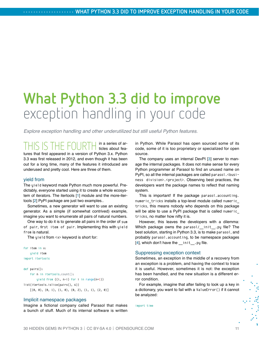## <span id="page-10-0"></span>**What Python 3.3 did to improve** exception handling in your code

*Explore exception handling and other underutilized but still useful Python features.*

THIS IS THE FOURTH in a series of ar-ticles about features that first appeared in a version of Python 3.x. Python 3.3 was first released in 2012, and even though it has been out for a long time, many of the features it introduced are underused and pretty cool. Here are three of them.

#### yield from

The yield keyword made Python much more powerful. Predictably, everyone started using it to create a whole ecosystem of iterators. The itertools [[1](https://docs.python.org/3/library/itertools.html)] module and the more-itertools [[2](https://more-itertools.readthedocs.io/en/stable/)] PyPI package are just two examples..

Sometimes, a new generator will want to use an existing generator. As a simple (if somewhat contrived) example, imagine you want to enumerate all pairs of natural numbers.

One way to do it is to generate all pairs in the order of sum of pair, first item of pair. Implementing this with yield from is natural.

The yield from <x> keyword is short for:

```
for item in x:
     yield item
import itertools
```

```
def pairs():
     for n in itertools.count():
         yield from ((i, n-i) for i in range(n+1))
list(itertools.islice(pairs(), 6))
    [(0, 0), (0, 1), (1, 0), (0, 2), (1, 1), (2, 0)]
```
#### Implicit namespace packages

Imagine a fictional company called Parasol that makes a bunch of stuff. Much of its internal software is written

in Python. While Parasol has open sourced some of its code, some of it is too proprietary or specialized for open source.

The company uses an internal DevPI [[3](https://opensource.com/article/18/7/setting-devpi)] server to manage the internal packages. It does not make sense for every Python programmer at Parasol to find an unused name on PyPI, so all the internal packages are called parasol. <br/>business division>.<project>. Observing best practices, the developers want the package names to reflect that naming system.

This is important! If the package parasol.accounting. numeric tricks installs a top-level module called numeric tricks, this means nobody who depends on this package will be able to use a PyPI package that is called numeric tricks, no matter how nifty it is.

However, this leaves the developers with a dilemma: Which package owns the parasol/\_\_init\_\_.py file? The best solution, starting in Python 3.3, is to make parasol, and probably parasol.accounting, to be namespace packages [[4](https://www.python.org/dev/peps/pep-0420/)], which don't have the \_\_init\_\_.py file.

#### Suppressing exception context

Sometimes, an exception in the middle of a recovery from an exception is a problem, and having the context to trace it is useful. However, sometimes it is not: the exception has been handled, and the new situation is a different error condition.

For example, imagine that after failing to look up a key in a dictionary, you want to fail with a ValueError() if it cannot be analyzed:

import time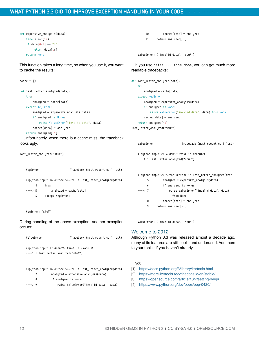```
def expensive_analysis(data):
     time.sleep(10)
    if data[0:1] == "\\ return data[1:]
     return None
```
This function takes a long time, so when you use it, you want to cache the results:

```
cache = f}
```

```
def last_letter_analyzed(data):
     try:
        analyzed = cache[data] except KeyError:
         analyzed = expensive_analysis(data)
         if analyzed is None:
             raise ValueError("invalid data", data)
         cached[data] = analyzed
    return analyzed[-1]
```
Unfortunately, when there is a cache miss, the traceback looks ugly:

```
last_letter_analyzed("stuff")
 -------------------------------------------------------------
   KeyError Traceback (most recent call last)
    <ipython-input-16-a525ae35267b> in last_letter_analyzed(data)
        4 try:
    ----> 5 analyzed = cache[data]
         6 except KeyError:
```
KeuError: 'stuff'

During handling of the above exception, another exception occurs:

```
ValueError Traceback (most recent call last)
 <ipython-input-17-40dab921f9a9> in <module>
 ----> 1 last_letter_analyzed("stuff")
 <ipython-input-16-a525ae35267b> in last_letter_analyzed(data)
```
7 analyzed = expensive\_analysis(data)

8 if analyzed is None:

----> 9 raise ValueError("invalid data", data)

```
 10 cached[data] = analyzed
```
11 return analyzed[-1]

ValueError: ('invalid data', 'stuff')

If you use raise ... from None, you can get much more readable tracebacks:

def last\_letter\_analyzed(data):

```
 try:
       analyzed = cache[data] except KeyError:
        analyzed = expensive_analysis(data)
         if analyzed is None:
             raise ValueError("invalid data", data) from None
        cached[data] = analyzed
    return analyzed[-1]
last_letter_analyzed("stuff")
 -------------------------------------------------------------
```
ValueError Traceback (most recent call last)

```
 <ipython-input-21-40dab921f9a9> in <module>
----> 1 last letter analyzed("stuff")
```
<ipython-input-20-5691e33edfbc> in last\_letter\_analyzed(data)

| 5         | $analyzed = expensive analysis(data)$  |  |  |  |
|-----------|----------------------------------------|--|--|--|
| 6         | if analyzed is None:                   |  |  |  |
| $---27$   | raise ValueError("invalid data", data) |  |  |  |
| from None |                                        |  |  |  |
| 8         | $cached[data] = analuzed$              |  |  |  |
| 9         | $return$ analyzed $[-1]$               |  |  |  |
|           |                                        |  |  |  |

ValueError: ('invalid data', 'stuff')

#### Welcome to 2012

Although Python 3.3 was released almost a decade ago, many of its features are still cool—and underused. Add them to your toolkit if you haven't already.

#### Links

- [1] <https://docs.python.org/3/library/itertools.html>
- [2] <https://more-itertools.readthedocs.io/en/stable/>
- [3] <https://opensource.com/article/18/7/setting-devpi>
- [4] <https://www.python.org/dev/peps/pep-0420/>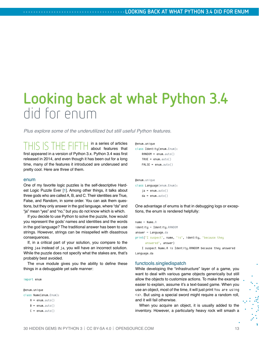## <span id="page-12-0"></span>**Looking back at what Python 3.4** did for enum

*Plus explore some of the underutilized but still useful Python features.*

THIS IS THE FIFTH in a series of articles about features that first appeared in a version of Python 3.x. Python 3.4 was first released in 2014, and even though it has been out for a long time, many of the features it introduced are underused and pretty cool. Here are three of them.

#### enum

One of my favorite logic puzzles is the self-descriptive Hardest Logic Puzzle Ever [[1](https://en.wikipedia.org/wiki/The_Hardest_Logic_Puzzle_Ever)]. Among other things, it talks about three gods who are called A, B, and C. Their identities are True, False, and Random, in some order. You can ask them questions, but they only answer in the god language, where "da" and "ja" mean "yes" and "no," but you do not know which is which.

If you decide to use Python to solve the puzzle, how would you represent the gods' names and identities and the words in the god language? The traditional answer has been to use strings. However, strings can be misspelled with disastrous consequences.

If, in a critical part of your solution, you compare to the string jaa instead of ja, you will have an incorrect solution. While the puzzle does not specify what the stakes are, that's probably best avoided.

The enum module gives you the ability to define these things in a debuggable yet safe manner:

import enum

@enum.unique class Name(enum.Enum):  $A = \text{enum}$ .  $\text{aut}_0()$  $B =$ enum.auto()  $C = enum.outo()$ 

```
@enum.unique
```

```
class Identity(enum.Enum):
     RANDOM = enum.auto()
    TRUE = enum.auto() FALSE = enum.auto()
```

```
@enum.unique
class Language(enum.Enum):
     ja = enum.auto()
    da = \text{enum}. auto()
```
One advantage of enums is that in debugging logs or exceptions, the enum is rendered helpfully:

```
name = Name.Aidentity = Identity.RANDOM
answer = Language.da
print("I suspect", name, "is", identity, "because they 
      answered", answer)
```
 I suspect Name.A is Identity.RANDOM because they answered Language.da

#### functools.singledispatch

While developing the "infrastructure" layer of a game, you want to deal with various game objects generically but still allow the objects to customize actions. To make the example easier to explain, assume it's a text-based game. When you use an object, most of the time, it will just print You are using <x>. But using a special sword might require a random roll, and it will fail otherwise.

When you acquire an object, it is usually added to the inventory. However, a particularly heavy rock will smash a

š.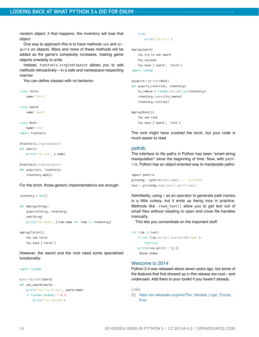random object; if that happens, the inventory will lose that object.

One way to approach this is to have methods use and acquire on objects. More and more of these methods will be added as the game's complexity increases, making game objects unwieldy to write.

Instead, functools.singledispatch allows you to add methods retroactively—in a safe and namespace-respecting manner.

You can define classes with no behavior:

```
class Torch:
     name="torch"
```
class Sword:

name="sword"

class Rock:

name="rock"

import functools

```
@functools.singledispatch
def use(x):
     print("You use", x.name)
```

```
@functools.singledispatch
def acquire(x, inventory):
     inventory.add(x)
```
For the torch, those generic implementations are enough:

```
inventory = set()
```

```
def deploy(thing):
     acquire(thing, inventory)
     use(thing)
     print("You have", [item.name for item in inventory])
```

```
deploy(Torch())
     You use torch
     You have ['torch']
```
However, the sword and the rock need some specialized functionality:

```
import random
```

```
@use.register(Sword)
def use_sword(sword):
     print("You try to use", sword.name)
   if random.random() < 0.9:
         print("You succeed")
```

```
 else:
```

```
 print("You fail")
```

```
deploy(sword)
     You try to use sword
     You succeed
     You have ['sword', 'torch']
```
import random

```
@acquire.register(Rock)
def acquire_rock(rock, inventory):
     to_remove = random.choice(list(inventory))
     inventory.remove(to_remove)
     inventory.add(rock)
```
deploy(Rock()) You use rock You have ['sword', 'rock']

The rock might have crushed the torch, but your code is much easier to read.

#### pathlib

The interface to file paths in Python has been "smart-string manipulation" since the beginning of time. Now, with pathlib, Python has an object-oriented way to manipulate paths:

```
import pathlib
gitconfig = pathlib.Path.home() / ".gitconfig"
text = qitconfig.read text().splitlines()
```
Admittedly, using / as an operator to generate path names is a little cutesy, but it ends up being nice in practice. Methods like .read\_text() allow you to get text out of small files without needing to open and close file handles manually.

This lets you concentrate on the important stuff:

```
for line in text:
     if not line.strip().startswith("name"):
         continue
     print(line.split("=")[1])
      Moshe Zadka
```
#### Welcome to 2014

Python 3.4 was released about seven years ago, but some of the features that first showed up in this release are cool—and underused. Add them to your toolkit if you haven't already.

Links

[1] [https://en.wikipedia.org/wiki/The\\_Hardest\\_Logic\\_Puzzle\\_](https://en.wikipedia.org/wiki/The_Hardest_Logic_Puzzle_Ever) [Ever](https://en.wikipedia.org/wiki/The_Hardest_Logic_Puzzle_Ever)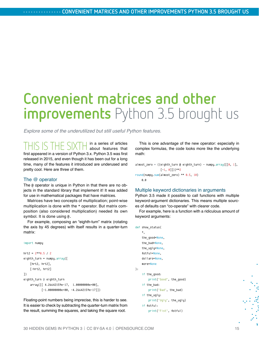## <span id="page-14-0"></span>**Convenient matrices and other improvements** Python 3.5 brought us

*Explore some of the underutilized but still useful Python features.*

THIS IS THE SIXTH in a series of articles about features that first appeared in a version of Python 3.x. Python 3.5 was first released in 2015, and even though it has been out for a long time, many of the features it introduced are underused and pretty cool. Here are three of them.

#### The @ operator

The @ operator is unique in Python in that there are no objects in the standard library that implement it! It was added for use in mathematical packages that have matrices.

Matrices have two concepts of multiplication; point-wise multiplication is done with the \* operator. But matrix composition (also considered multiplication) needed its own symbol. It is done using @.

For example, composing an "eighth-turn" matrix (rotating the axis by 45 degrees) with itself results in a quarter-turn matrix:

```
import numpy
```

```
hrt2 = 2**0.5 / 2eighth_turn = numpy.array([
     [hrt2, hrt2],
    [-hrt2, hrt2]
])
eighth_turn @ eighth_turn
     array([[ 4.26642159e-17, 1.00000000e+00],
           [-1.00000000e+00, -4.26642159e-17]]
```
Floating-point numbers being imprecise, this is harder to see. It is easier to check by subtracting the quarter-turn matrix from the result, summing the squares, and taking the square root.

This is one advantage of the new operator: especially in complex formulas, the code looks more like the underlying math:

 $almost\_zero = ((eighth\_turn @ eighth\_turn) - numpy.array([[0, 1],$  $[-1, 0$ ]]))\*\*2 round(numpy.sum(almost\_zero) \*\* 0.5, 10) ด.ค

#### Multiple keyword dictionaries in arguments

Python 3.5 made it possible to call functions with multiple keyword-argument dictionaries. This means multiple sources of defaults can "co-operate" with clearer code.

For example, here is a function with a ridiculous amount of keyword arguments:

```
def show_status(
     *,
     the_good=None,
    the bad=None,
    the ugly=None,
     fistful=None,
     dollars=None,
     more=None
):
     if the_good:
         print("Good", the_good)
     if the_bad:
         print("Bad", the_bad)
     if the_ugly:
         print("Ugly", the_ugly)
     if fistful:
         print("Fist", fistful)
```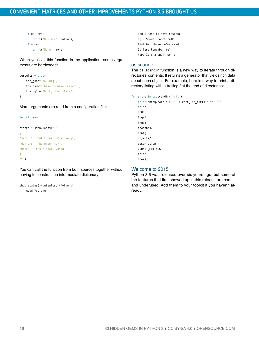```
 if dollars:
     print("Dollars", dollars)
 if more:
     print("More", more)
```
When you call this function in the application, some arguments are hardcoded:

```
defaults = dict(the good="You dig",
     the_bad="I have to have respect",
     the_ugly="Shoot, don't talk",
)
```
More arguments are read from a configuration file:

```
import json
```

```
others = json.loads("""
{f}"fistful": "Get three coffins ready",
"dollars": "Remember me?",
"more": "It's a small world"
}
""")
```
You can call the function from both sources together without having to construct an intermediate dictionary:

```
show status(**defaults, **others)
    Good You dig
```
 Bad I have to have respect Ugly Shoot, don't talk Fist Get three coffins ready Dollars Remember me? More It's a small world

#### os.scandir

The os.scandir function is a new way to iterate through directories' contents. It returns a generator that yields rich data about each object. For example, here is a way to print a directory listing with a trailing / at the end of directories:

#### for entry in os.scandir(".git"):

```
 print(entry.name + ("/" if entry.is_dir() else ""))
 refs/
 HEAD
 logs/
 index
 branches/
 config
 objects/
 description
 COMMIT_EDITMSG
 info/
 hooks/
```
#### Welcome to 2015

Python 3.5 was released over six years ago, but some of the features that first showed up in this release are cool and underused. Add them to your toolkit if you haven't already.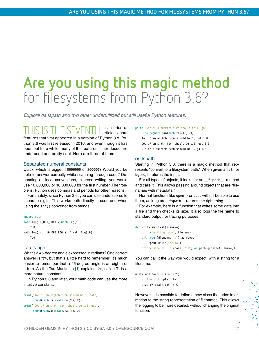## <span id="page-16-0"></span>**Are you using this magic method** for filesystems from Python 3.6?

*Explore os.fspath and two other underutilized but still useful Python features.*

IS THE SEVENTH in a series of articles about features that first appeared in a version of Python 3.x. Python 3.6 was first released in 2016, and even though it has been out for a while, many of the features it introduced are underused and pretty cool. Here are three of them.

#### Separated numeral constants

Quick, which is bigger, 10000000 or 200000? Would you be able to answer correctly while scanning through code? Depending on local conventions, in prose writing, you would use 10,000,000 or 10.000.000 for the first number. The trouble is, Python uses commas and periods for other reasons.

Fortunately, since Python 3.6, you can use underscores to separate digits. This works both directly in code and when using the int() convertor from strings:

```
import math
math.log(10_000_000) / math.log(10)
     7.0
math.log(int("10_000_000")) / math.log(10)
     7.0
```
#### Tau is right

What's a 45-degree angle expressed in radians? One correct answer is  $\pi/4$ , but that's a little hard to remember. It's much easier to remember that a 45-degree angle is an eighth of a turn. As the Tau Manifesto [[1](https://tauday.com/tau-manifesto)] explains, 2π, called Τ, is a more natural constant.

In Python 3.6 and later, your math code can use the more intuitive constant:

```
print("Tan of an eighth turn should be 1, got", 
       round(math.tan(math.tau/8), 2))
print("Cos of an sixth turn should be 1/2, got", 
       round(math.cos(math.tau/6), 2))
```
print("Sin of a quarter turn should be 1, go",

 round(math.sin(math.tau/4), 2)) Tan of an eighth turn should be 1, got 1.0 Cos of an sixth turn should be 1/2, got 0.5 Sin of a quarter turn should be 1, go 1.0

#### os.fspath

Starting in Python 3.6, there is a magic method that represents "convert to a filesystem path." When given an str or bytes, it returns the input.

For all types of objects, it looks for an \_\_fspath\_\_ method and calls it. This allows passing around objects that are "filenames with metadata."

Normal functions like open() or stat will still be able to use them, as long as fspath returns the right thing.

For example, here is a function that writes some data into a file and then checks its size. It also logs the file name to standard output for tracing purposes:

```
def write_and_test(filename):
     print("writing into", filename)
     with open(filename, "w") as fpout:
         fpout.write("hello")
     print("size of", filename, "is", os.path.getsize(filename))
```
You can call it the way you would expect, with a string for a filename:

```
write_and_test("plain.txt")
    writing into plain.txt
    size of plain.txt is 5
```
However, it is possible to define a new class that adds information to the string representation of filenames. This allows the logging to be more detailed, without changing the original function: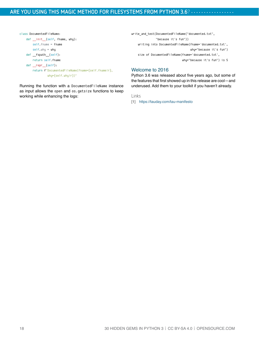```
class DocumentedFileName:
     def __init__(self, fname, why):
        self.fname = fname
        self.why = why
    def __fspath__(self):
        return self.fname
     def __repr__(self):
         return f"DocumentedFileName(fname={self.fname!r}, 
                  why={self.why!r})"
```
Running the function with a DocumentedFileName instance as input allows the open and os.getsize functions to keep working while enhancing the logs:

write\_and\_test(DocumentedFileName("documented.txt", "because it's fun")) writing into DocumentedFileName(fname='documented.txt', why="because it's fun") size of DocumentedFileName(fname='documented.txt', why="because it's fun") is 5

#### Welcome to 2016

Python 3.6 was released about five years ago, but some of the features that first showed up in this release are cool—and underused. Add them to your toolkit if you haven't already.

Links

[1] <https://tauday.com/tau-manifesto>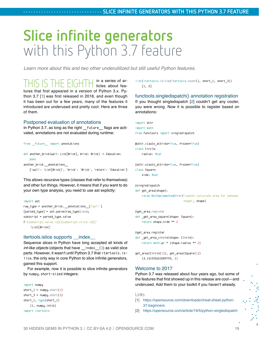### <span id="page-18-0"></span>**Slice infinite generators** with this Python 3.7 feature

*Learn more about this and two other underutilized but still useful Python features.*

THIS IS THE EIGHTH in a series of ar-ticles about features that first appeared in a version of Python 3.x. Python 3.7 [[1\]](https://opensource.com/downloads/cheat-sheet-python-37-beginners) was first released in 2018, and even though it has been out for a few years, many of the features it introduced are underused and pretty cool. Here are three of them.

#### Postponed evaluation of annotations

In Python 3.7, as long as the right \_\_future\_\_ flags are activated, annotations are not evaluated during runtime:

```
from __ future__ import annotations
```

```
def another_brick(wall: List[Brick], brick: Brick) -> Education:
     pass
another_brick.__annotations__
     {'wall': 'List[Brick]', 'brick': 'Brick', 'return': 'Education'}
```
This allows recursive types (classes that refer to themselves) and other fun things. However, it means that if you want to do your own type analysis, you need to use ast explictly:

```
import ast
raw_type = another_brick.__annotations__['wall']
[parsed_type] = ast.parse(raw_type).body
subscript = parsed_type.value
f"{subscript.value.id}[{subscript.slice.id}]"
     'List[Brick]'
```
#### itertools.islice supports \_\_index

Sequence slices in Python have long accepted all kinds of *int-like objects* (objects that have \_\_index\_\_()) as valid slice parts. However, it wasn't until Python 3.7 that itertools. islice, the only way in core Python to slice infinite generators, gained this support.

For example, now it is possible to slice infinite generators by numpy.short-sized integers:

```
import numpy
short 1 = numpy.short(1)
short_3 = numpy.short(3)
short_1, type(short_1)
     (1, numpy.int16)
import itertools
```
list(itertools.islice(itertools.count(), short\_1, short\_3)) [1, 2]

functools.singledispatch() annotation registration If you thought singledispatch [[2](https://opensource.com/article/19/5/python-singledispatch)] couldn't get any cooler, you were wrong. Now it is possible to register based on annotations:

```
import attr
import math
from functools import singledispatch
```
@attr.s(auto\_attribs=True, frozen=True) class Circle: radius: float

@attr.s(auto\_attribs=True, frozen=True) class Square: side: float

```
@singledispatch
def get_area(shape):
```
 raise NotImplementedError("cannot calculate area for unknown shape", shape)

```
@get_area.register
def _get_area_square(shape: Square):
     return shape.side ** 2
```
@get\_area.register def \_get\_area\_circle(shape: Circle): return math.pi \* (shape.radius \*\* 2)

```
get_area(Circle(1)), get_area(Square(1))
    (3.141592653589793, 1)
```
#### Welcome to 2017

Python 3.7 was released about four years ago, but some of the features that first showed up in this release are cool—and underused. Add them to your toolkit if you haven't already.

#### Links

- [1] [https://opensource.com/downloads/cheat-sheet-python-](https://opensource.com/downloads/cheat-sheet-python-37-beginners)[37-beginners](https://opensource.com/downloads/cheat-sheet-python-37-beginners)
- [2] <https://opensource.com/article/19/5/python-singledispatch>

 $\overline{\mathbf{x}}$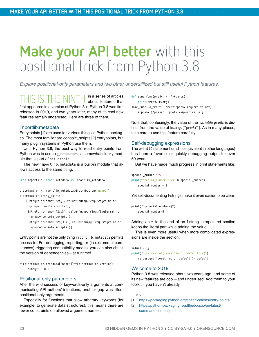## <span id="page-19-0"></span>**Make your API better** with this positional trick from Python 3.8

*Explore positional-only parameters and two other underutilized but still useful Python features.*

THIS IS THE NINTH in a series of articles about features that first appeared in a version of Python 3.x. Python 3.8 was first released in 2019, and two years later, many of its cool new features remain underused. Here are three of them.

#### importlib.metadata

Entry points [[1\]](https://packaging.python.org/specifications/entry-points/) are used for various things in Python packages. The most familiar are console\_scripts [[2](https://python-packaging.readthedocs.io/en/latest/command-line-scripts.html)] entrypoints, but many plugin systems in Python use them.

Until Python 3.8, the best way to read entry points from Python was to use pkg\_resources, a somewhat clunky module that is part of setuptools.

The new importlib.metadata is a built-in module that allows access to the same thing:

```
from importlib import metadata as importlib_metadata
```

```
distribution = importlib_metadata.distribution("numpy")
distribution.entry_points
```
 [EntryPoint(name='f2py', value='numpy.f2py.f2py2e:main', group='console\_scripts'),

```
 EntryPoint(name='f2py3', value='numpy.f2py.f2py2e:main', 
   group='console_scripts'),
```
 EntryPoint(name='f2py3.9', value='numpy.f2py.f2py2e:main', group='console\_scripts')]

Entry points are not the only thing importlib.metadata permits access to. For debugging, reporting, or (in extreme circumstances) triggering compatibility modes, you can also check the version of dependencies—at runtime!

```
f"{distribution.metadata['name']}=={distribution.version}"
     'numpy==1.20.1'
```
#### Positional-only parameters

After the wild success of keywords-only arguments at communicating API authors' intentions, another gap was filled: positional-only arguments.

Especially for functions that allow arbitrary keywords (for example, to generate data structures), this means there are fewer constraints on allowed argument names:

```
def some_func(prefix, /, **kwargs):
     print(prefix, kwargs)
```
some func("a prefix", prefix="prefix keyword value") a\_prefix {'prefix': 'prefix keyword value'}

Note that, confusingly, the value of the *variable* prefix is distinct from the value of kwargs["prefix"]. As in many places, take care to use this feature carefully.

#### Self-debugging expressions

The print() statement (and its equivalent in other languages) has been a favorite for quickly debugging output for over 50 years.

But we have made much progress in print statements like:

special number  $= 5$ print("special\_number = %s" % special\_number) special number =  $5$ 

Yet self-documenting f-strings make it even easier to be clear:

```
print(f"{special_number=}")
    special number=5
```
Adding an = to the end of an f-string interpolated section keeps the literal part while adding the value.

This is even more useful when more complicated expressions are inside the section:

```
values = \{\}print(f"{values.get('something', 'default')=}")
     values.get('something', 'default')='default'
```
#### Welcome to 2019

Python 3.8 was released about two years ago, and some of its new features are cool—and underused. Add them to your toolkit if you haven't already.

#### Links

- [1] <https://packaging.python.org/specifications/entry-points/>
- [2] [https://python-packaging.readthedocs.io/en/latest/](https://python-packaging.readthedocs.io/en/latest/command-line-scripts.html) [command-line-scripts.html](https://python-packaging.readthedocs.io/en/latest/command-line-scripts.html)